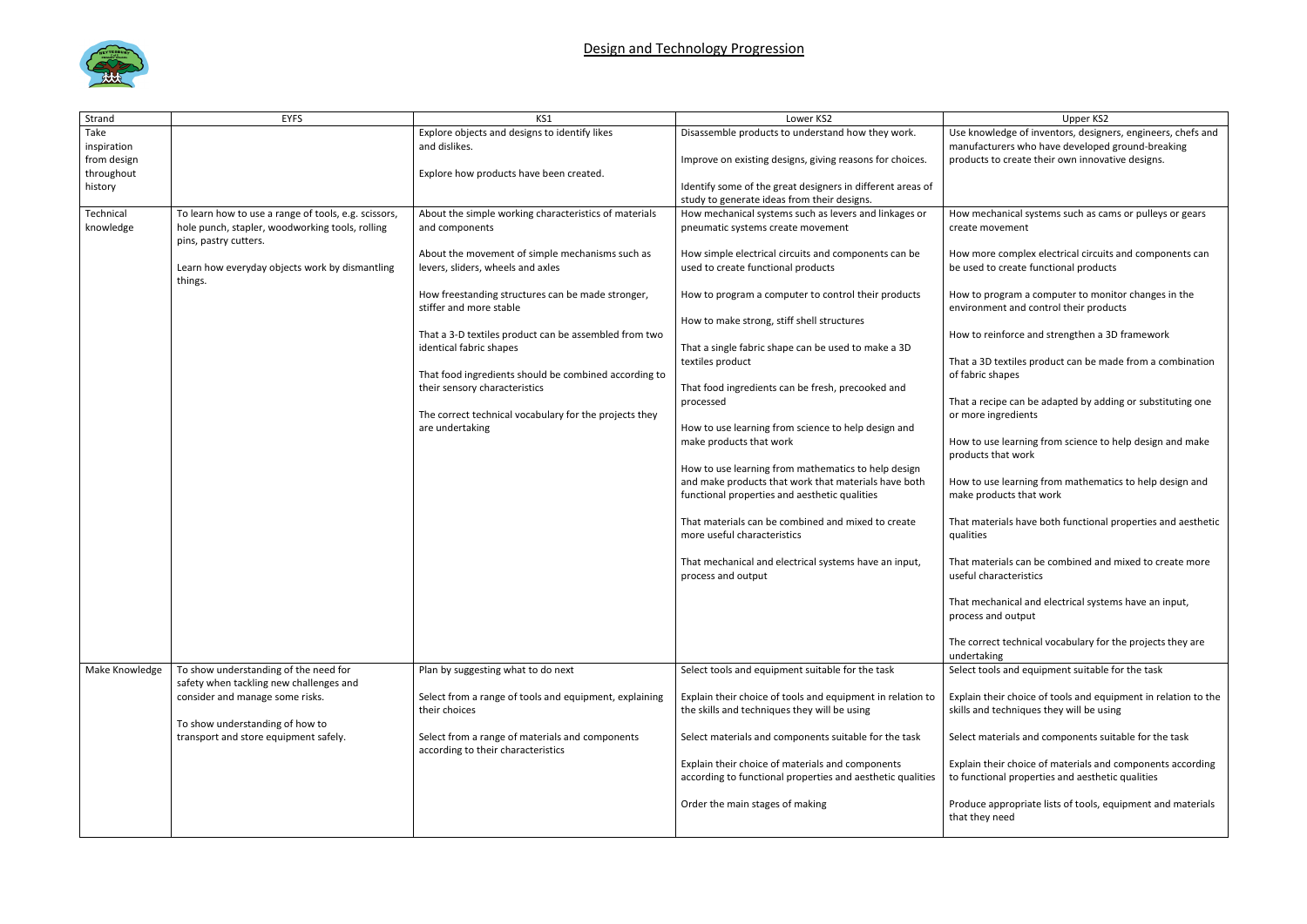

| Strand         | <b>EYFS</b>                                                                      | KS1                                                                                    | Lower KS2                                                                   | Upper KS2                                                              |
|----------------|----------------------------------------------------------------------------------|----------------------------------------------------------------------------------------|-----------------------------------------------------------------------------|------------------------------------------------------------------------|
| Take           |                                                                                  | Explore objects and designs to identify likes                                          | Disassemble products to understand how they work.                           | Use knowledge of inventors, design                                     |
| inspiration    |                                                                                  | and dislikes.                                                                          |                                                                             | manufacturers who have developed                                       |
| from design    |                                                                                  |                                                                                        | Improve on existing designs, giving reasons for choices.                    | products to create their own innova                                    |
| throughout     |                                                                                  | Explore how products have been created.                                                |                                                                             |                                                                        |
| history        |                                                                                  |                                                                                        | Identify some of the great designers in different areas of                  |                                                                        |
|                |                                                                                  |                                                                                        | study to generate ideas from their designs.                                 |                                                                        |
| Technical      | To learn how to use a range of tools, e.g. scissors,                             | About the simple working characteristics of materials                                  | How mechanical systems such as levers and linkages or                       | How mechanical systems such as ca                                      |
| knowledge      | hole punch, stapler, woodworking tools, rolling<br>pins, pastry cutters.         | and components                                                                         | pneumatic systems create movement                                           | create movement                                                        |
|                |                                                                                  | About the movement of simple mechanisms such as                                        | How simple electrical circuits and components can be                        | How more complex electrical circuit                                    |
|                | Learn how everyday objects work by dismantling<br>things.                        | levers, sliders, wheels and axles                                                      | used to create functional products                                          | be used to create functional produc                                    |
|                |                                                                                  | How freestanding structures can be made stronger,<br>stiffer and more stable           | How to program a computer to control their products                         | How to program a computer to mor<br>environment and control their prod |
|                |                                                                                  |                                                                                        | How to make strong, stiff shell structures                                  |                                                                        |
|                |                                                                                  | That a 3-D textiles product can be assembled from two                                  |                                                                             | How to reinforce and strengthen a                                      |
|                |                                                                                  | identical fabric shapes                                                                | That a single fabric shape can be used to make a 3D                         |                                                                        |
|                |                                                                                  |                                                                                        | textiles product                                                            | That a 3D textiles product can be m                                    |
|                |                                                                                  | That food ingredients should be combined according to<br>their sensory characteristics | That food ingredients can be fresh, precooked and                           | of fabric shapes                                                       |
|                |                                                                                  |                                                                                        | processed                                                                   | That a recipe can be adapted by add                                    |
|                |                                                                                  | The correct technical vocabulary for the projects they                                 |                                                                             | or more ingredients                                                    |
|                |                                                                                  | are undertaking                                                                        | How to use learning from science to help design and                         |                                                                        |
|                |                                                                                  |                                                                                        | make products that work                                                     | How to use learning from science to<br>products that work              |
|                |                                                                                  |                                                                                        | How to use learning from mathematics to help design                         |                                                                        |
|                |                                                                                  |                                                                                        | and make products that work that materials have both                        | How to use learning from mathema                                       |
|                |                                                                                  |                                                                                        | functional properties and aesthetic qualities                               | make products that work                                                |
|                |                                                                                  |                                                                                        |                                                                             |                                                                        |
|                |                                                                                  |                                                                                        | That materials can be combined and mixed to create                          | That materials have both functional                                    |
|                |                                                                                  |                                                                                        | more useful characteristics                                                 | qualities                                                              |
|                |                                                                                  |                                                                                        |                                                                             |                                                                        |
|                |                                                                                  |                                                                                        | That mechanical and electrical systems have an input,<br>process and output | That materials can be combined and<br>useful characteristics           |
|                |                                                                                  |                                                                                        |                                                                             | That mechanical and electrical syste                                   |
|                |                                                                                  |                                                                                        |                                                                             | process and output                                                     |
|                |                                                                                  |                                                                                        |                                                                             | The correct technical vocabulary for                                   |
|                |                                                                                  |                                                                                        |                                                                             | undertaking                                                            |
| Make Knowledge | To show understanding of the need for<br>safety when tackling new challenges and | Plan by suggesting what to do next                                                     | Select tools and equipment suitable for the task                            | Select tools and equipment suitable                                    |
|                | consider and manage some risks.                                                  | Select from a range of tools and equipment, explaining                                 | Explain their choice of tools and equipment in relation to                  | Explain their choice of tools and equ                                  |
|                |                                                                                  | their choices                                                                          | the skills and techniques they will be using                                | skills and techniques they will be us                                  |
|                | To show understanding of how to                                                  |                                                                                        |                                                                             |                                                                        |
|                | transport and store equipment safely.                                            | Select from a range of materials and components<br>according to their characteristics  | Select materials and components suitable for the task                       | Select materials and components su                                     |
|                |                                                                                  |                                                                                        | Explain their choice of materials and components                            | Explain their choice of materials and                                  |
|                |                                                                                  |                                                                                        | according to functional properties and aesthetic qualities                  | to functional properties and aesthe                                    |
|                |                                                                                  |                                                                                        |                                                                             |                                                                        |
|                |                                                                                  |                                                                                        | Order the main stages of making                                             | Produce appropriate lists of tools, e<br>that they need                |
|                |                                                                                  |                                                                                        |                                                                             |                                                                        |

## wledge of inventors, designers, engineers, chefs and turers who have developed ground-breaking to create their own innovative designs. chanical systems such as cams or pulleys or gears novement re complex electrical circuits and components can to create functional products orogram a computer to monitor changes in the nent and control their products reinforce and strengthen a 3D framework D textiles product can be made from a combination shapes ecipe can be adapted by adding or substituting one ingredients use learning from science to help design and make that work use learning from mathematics to help design and oducts that work terials have both functional properties and aesthetic terials can be combined and mixed to create more naracteristics chanical and electrical systems have an input, and output ect technical vocabulary for the projects they are king ols and equipment suitable for the task heir choice of tools and equipment in relation to the I techniques they will be using aterials and components suitable for the task heir choice of materials and components according onal properties and aesthetic qualities

appropriate lists of tools, equipment and materials t need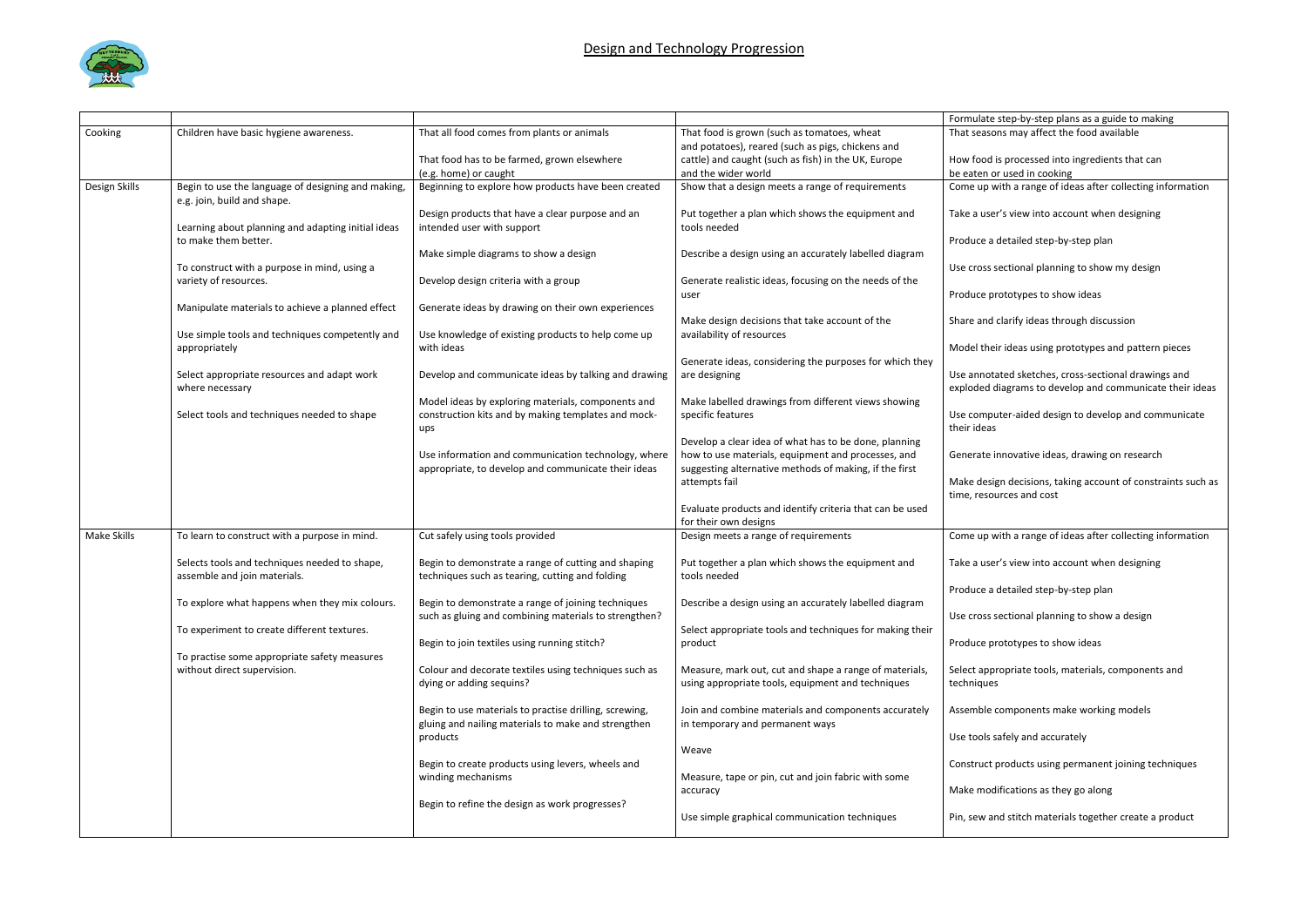

|               |                                                    |                                                                                |                                                                   | Formulate step-by-step plans as a guide to making                                        |
|---------------|----------------------------------------------------|--------------------------------------------------------------------------------|-------------------------------------------------------------------|------------------------------------------------------------------------------------------|
| Cooking       | Children have basic hygiene awareness.             | That all food comes from plants or animals                                     | That food is grown (such as tomatoes, wheat                       | That seasons may affect the food available                                               |
|               |                                                    |                                                                                | and potatoes), reared (such as pigs, chickens and                 |                                                                                          |
|               |                                                    | That food has to be farmed, grown elsewhere                                    | cattle) and caught (such as fish) in the UK, Europe               | How food is processed into ingredients that can                                          |
|               |                                                    | (e.g. home) or caught                                                          | and the wider world                                               | be eaten or used in cooking                                                              |
| Design Skills | Begin to use the language of designing and making, | Beginning to explore how products have been created                            | Show that a design meets a range of requirements                  | Come up with a range of ideas after collecting information                               |
|               | e.g. join, build and shape.                        |                                                                                |                                                                   | Take a user's view into account when designing                                           |
|               | Learning about planning and adapting initial ideas | Design products that have a clear purpose and an<br>intended user with support | Put together a plan which shows the equipment and<br>tools needed |                                                                                          |
|               | to make them better.                               |                                                                                |                                                                   | Produce a detailed step-by-step plan                                                     |
|               |                                                    | Make simple diagrams to show a design                                          | Describe a design using an accurately labelled diagram            |                                                                                          |
|               | To construct with a purpose in mind, using a       |                                                                                |                                                                   | Use cross sectional planning to show my design                                           |
|               | variety of resources.                              | Develop design criteria with a group                                           | Generate realistic ideas, focusing on the needs of the            |                                                                                          |
|               |                                                    |                                                                                | user                                                              | Produce prototypes to show ideas                                                         |
|               | Manipulate materials to achieve a planned effect   | Generate ideas by drawing on their own experiences                             |                                                                   |                                                                                          |
|               |                                                    |                                                                                | Make design decisions that take account of the                    | Share and clarify ideas through discussion                                               |
|               | Use simple tools and techniques competently and    | Use knowledge of existing products to help come up                             | availability of resources                                         |                                                                                          |
|               | appropriately                                      | with ideas                                                                     |                                                                   | Model their ideas using prototypes and pattern pieces                                    |
|               |                                                    |                                                                                | Generate ideas, considering the purposes for which they           |                                                                                          |
|               | Select appropriate resources and adapt work        | Develop and communicate ideas by talking and drawing                           | are designing                                                     | Use annotated sketches, cross-sectional drawings and                                     |
|               | where necessary                                    |                                                                                |                                                                   | exploded diagrams to develop and communicate their ideas                                 |
|               |                                                    | Model ideas by exploring materials, components and                             | Make labelled drawings from different views showing               |                                                                                          |
|               | Select tools and techniques needed to shape        | construction kits and by making templates and mock-                            | specific features                                                 | Use computer-aided design to develop and communicate                                     |
|               |                                                    | ups                                                                            |                                                                   | their ideas                                                                              |
|               |                                                    |                                                                                | Develop a clear idea of what has to be done, planning             |                                                                                          |
|               |                                                    | Use information and communication technology, where                            | how to use materials, equipment and processes, and                | Generate innovative ideas, drawing on research                                           |
|               |                                                    | appropriate, to develop and communicate their ideas                            | suggesting alternative methods of making, if the first            |                                                                                          |
|               |                                                    |                                                                                | attempts fail                                                     | Make design decisions, taking account of constraints such as<br>time, resources and cost |
|               |                                                    |                                                                                | Evaluate products and identify criteria that can be used          |                                                                                          |
|               |                                                    |                                                                                | for their own designs                                             |                                                                                          |
| Make Skills   | To learn to construct with a purpose in mind.      | Cut safely using tools provided                                                | Design meets a range of requirements                              | Come up with a range of ideas after collecting information                               |
|               |                                                    |                                                                                |                                                                   |                                                                                          |
|               | Selects tools and techniques needed to shape,      | Begin to demonstrate a range of cutting and shaping                            | Put together a plan which shows the equipment and                 | Take a user's view into account when designing                                           |
|               | assemble and join materials.                       | techniques such as tearing, cutting and folding                                | tools needed                                                      |                                                                                          |
|               |                                                    |                                                                                |                                                                   | Produce a detailed step-by-step plan                                                     |
|               | To explore what happens when they mix colours.     | Begin to demonstrate a range of joining techniques                             | Describe a design using an accurately labelled diagram            |                                                                                          |
|               |                                                    | such as gluing and combining materials to strengthen?                          |                                                                   | Use cross sectional planning to show a design                                            |
|               | To experiment to create different textures.        |                                                                                | Select appropriate tools and techniques for making their          |                                                                                          |
|               |                                                    | Begin to join textiles using running stitch?                                   | product                                                           | Produce prototypes to show ideas                                                         |
|               | To practise some appropriate safety measures       |                                                                                |                                                                   |                                                                                          |
|               | without direct supervision.                        | Colour and decorate textiles using techniques such as                          | Measure, mark out, cut and shape a range of materials,            | Select appropriate tools, materials, components and                                      |
|               |                                                    | dying or adding sequins?                                                       | using appropriate tools, equipment and techniques                 | techniques                                                                               |
|               |                                                    |                                                                                |                                                                   |                                                                                          |
|               |                                                    | Begin to use materials to practise drilling, screwing,                         | Join and combine materials and components accurately              | Assemble components make working models                                                  |
|               |                                                    | gluing and nailing materials to make and strengthen                            | in temporary and permanent ways                                   |                                                                                          |
|               |                                                    | products                                                                       |                                                                   | Use tools safely and accurately                                                          |
|               |                                                    | Begin to create products using levers, wheels and                              | Weave                                                             | Construct products using permanent joining techniques                                    |
|               |                                                    | winding mechanisms                                                             | Measure, tape or pin, cut and join fabric with some               |                                                                                          |
|               |                                                    |                                                                                | accuracy                                                          | Make modifications as they go along                                                      |
|               |                                                    | Begin to refine the design as work progresses?                                 |                                                                   |                                                                                          |
|               |                                                    |                                                                                | Use simple graphical communication techniques                     | Pin, sew and stitch materials together create a product                                  |
|               |                                                    |                                                                                |                                                                   |                                                                                          |
|               |                                                    |                                                                                |                                                                   |                                                                                          |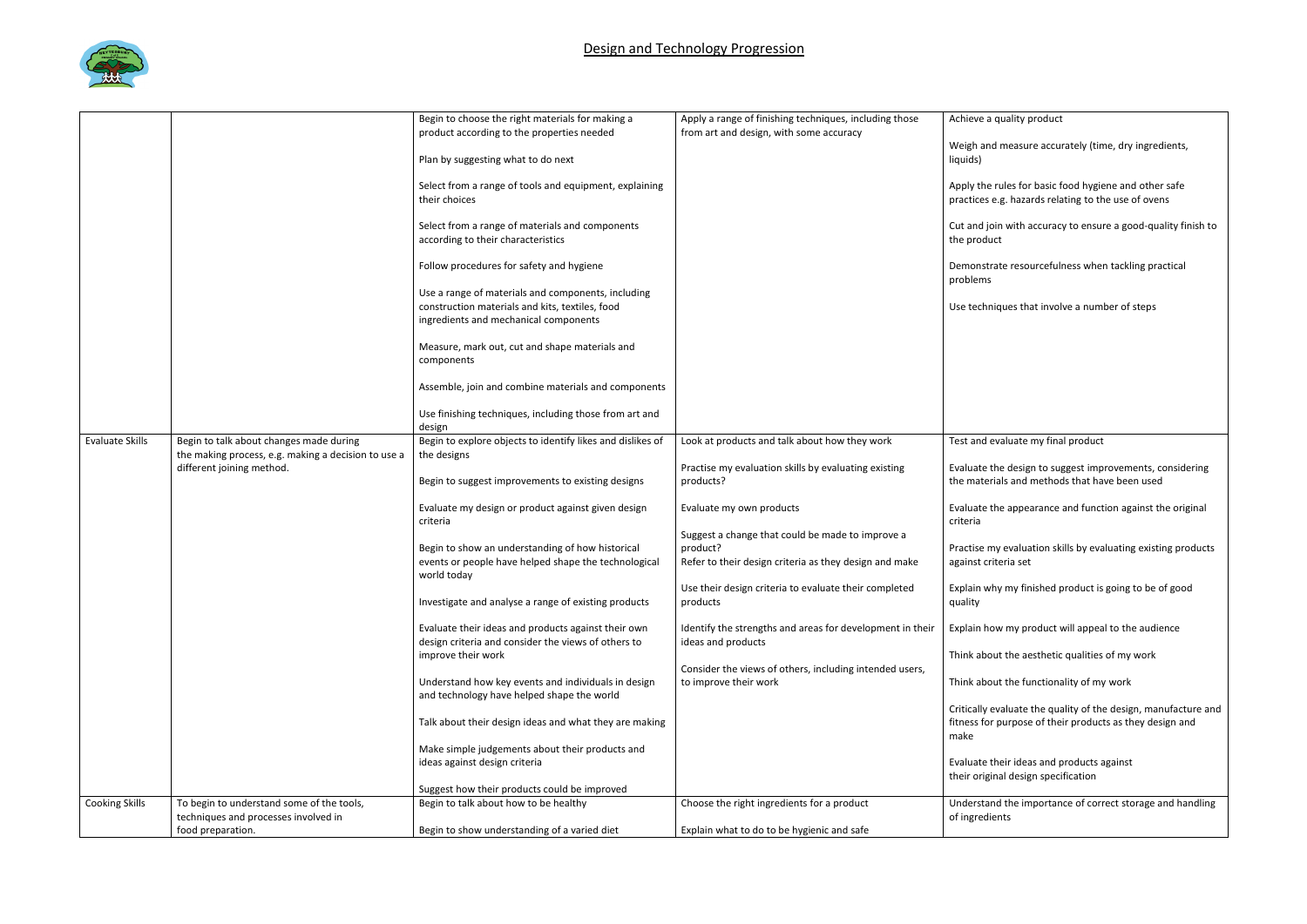

|                        |                                                     | Begin to choose the right materials for making a           | Apply a range of finishing techniques, including those            | Achieve a q                   |
|------------------------|-----------------------------------------------------|------------------------------------------------------------|-------------------------------------------------------------------|-------------------------------|
|                        |                                                     | product according to the properties needed                 | from art and design, with some accuracy                           |                               |
|                        |                                                     |                                                            |                                                                   | Weigh and                     |
|                        |                                                     | Plan by suggesting what to do next                         |                                                                   | liquids)                      |
|                        |                                                     | Select from a range of tools and equipment, explaining     |                                                                   | Apply the ru                  |
|                        |                                                     | their choices                                              |                                                                   |                               |
|                        |                                                     |                                                            |                                                                   | practices e.                  |
|                        |                                                     | Select from a range of materials and components            |                                                                   | Cut and joir                  |
|                        |                                                     | according to their characteristics                         |                                                                   | the product                   |
|                        |                                                     |                                                            |                                                                   |                               |
|                        |                                                     | Follow procedures for safety and hygiene                   |                                                                   | Demonstrat                    |
|                        |                                                     |                                                            |                                                                   | problems                      |
|                        |                                                     | Use a range of materials and components, including         |                                                                   |                               |
|                        |                                                     | construction materials and kits, textiles, food            |                                                                   | Use techniq                   |
|                        |                                                     | ingredients and mechanical components                      |                                                                   |                               |
|                        |                                                     |                                                            |                                                                   |                               |
|                        |                                                     | Measure, mark out, cut and shape materials and             |                                                                   |                               |
|                        |                                                     | components                                                 |                                                                   |                               |
|                        |                                                     |                                                            |                                                                   |                               |
|                        |                                                     | Assemble, join and combine materials and components        |                                                                   |                               |
|                        |                                                     |                                                            |                                                                   |                               |
|                        |                                                     | Use finishing techniques, including those from art and     |                                                                   |                               |
|                        |                                                     | design                                                     |                                                                   |                               |
| <b>Evaluate Skills</b> | Begin to talk about changes made during             | Begin to explore objects to identify likes and dislikes of | Look at products and talk about how they work                     | Test and ev                   |
|                        | the making process, e.g. making a decision to use a | the designs                                                |                                                                   |                               |
|                        | different joining method.                           | Begin to suggest improvements to existing designs          | Practise my evaluation skills by evaluating existing<br>products? | Evaluate the<br>the materia   |
|                        |                                                     |                                                            |                                                                   |                               |
|                        |                                                     | Evaluate my design or product against given design         | Evaluate my own products                                          | Evaluate the                  |
|                        |                                                     | criteria                                                   |                                                                   | criteria                      |
|                        |                                                     |                                                            | Suggest a change that could be made to improve a                  |                               |
|                        |                                                     | Begin to show an understanding of how historical           | product?                                                          | Practise my                   |
|                        |                                                     | events or people have helped shape the technological       | Refer to their design criteria as they design and make            | against crite                 |
|                        |                                                     | world today                                                |                                                                   |                               |
|                        |                                                     |                                                            | Use their design criteria to evaluate their completed             | Explain why                   |
|                        |                                                     | Investigate and analyse a range of existing products       | products                                                          | quality                       |
|                        |                                                     |                                                            |                                                                   |                               |
|                        |                                                     | Evaluate their ideas and products against their own        | Identify the strengths and areas for development in their         | Explain how                   |
|                        |                                                     | design criteria and consider the views of others to        | ideas and products                                                |                               |
|                        |                                                     | improve their work                                         |                                                                   | Think about                   |
|                        |                                                     |                                                            | Consider the views of others, including intended users,           |                               |
|                        |                                                     | Understand how key events and individuals in design        | to improve their work                                             | Think about                   |
|                        |                                                     | and technology have helped shape the world                 |                                                                   |                               |
|                        |                                                     |                                                            |                                                                   | Critically ev                 |
|                        |                                                     | Talk about their design ideas and what they are making     |                                                                   | fitness for p                 |
|                        |                                                     |                                                            |                                                                   | make                          |
|                        |                                                     | Make simple judgements about their products and            |                                                                   |                               |
|                        |                                                     | ideas against design criteria                              |                                                                   | Evaluate the<br>their origina |
|                        |                                                     | Suggest how their products could be improved               |                                                                   |                               |
| <b>Cooking Skills</b>  | To begin to understand some of the tools,           | Begin to talk about how to be healthy                      | Choose the right ingredients for a product                        | Understand                    |
|                        | techniques and processes involved in                |                                                            |                                                                   | of ingredier                  |
|                        | food preparation.                                   | Begin to show understanding of a varied diet               | Explain what to do to be hygienic and safe                        |                               |
|                        |                                                     |                                                            |                                                                   |                               |

| Achieve a quality product                                                                                                          |
|------------------------------------------------------------------------------------------------------------------------------------|
| Weigh and measure accurately (time, dry ingredients,<br>liquids)                                                                   |
| Apply the rules for basic food hygiene and other safe<br>practices e.g. hazards relating to the use of ovens                       |
| Cut and join with accuracy to ensure a good-quality finish to<br>the product                                                       |
| Demonstrate resourcefulness when tackling practical<br>problems                                                                    |
| Use techniques that involve a number of steps                                                                                      |
|                                                                                                                                    |
|                                                                                                                                    |
|                                                                                                                                    |
|                                                                                                                                    |
| Test and evaluate my final product                                                                                                 |
| Evaluate the design to suggest improvements, considering<br>the materials and methods that have been used                          |
| Evaluate the appearance and function against the original<br>criteria                                                              |
| Practise my evaluation skills by evaluating existing products<br>against criteria set                                              |
| Explain why my finished product is going to be of good<br>quality                                                                  |
| Explain how my product will appeal to the audience                                                                                 |
| Think about the aesthetic qualities of my work                                                                                     |
| Think about the functionality of my work                                                                                           |
| Critically evaluate the quality of the design, manufacture and<br>fitness for purpose of their products as they design and<br>make |
| Evaluate their ideas and products against                                                                                          |

iginal design specification

tand the importance of correct storage and handling dients<sup>.</sup>